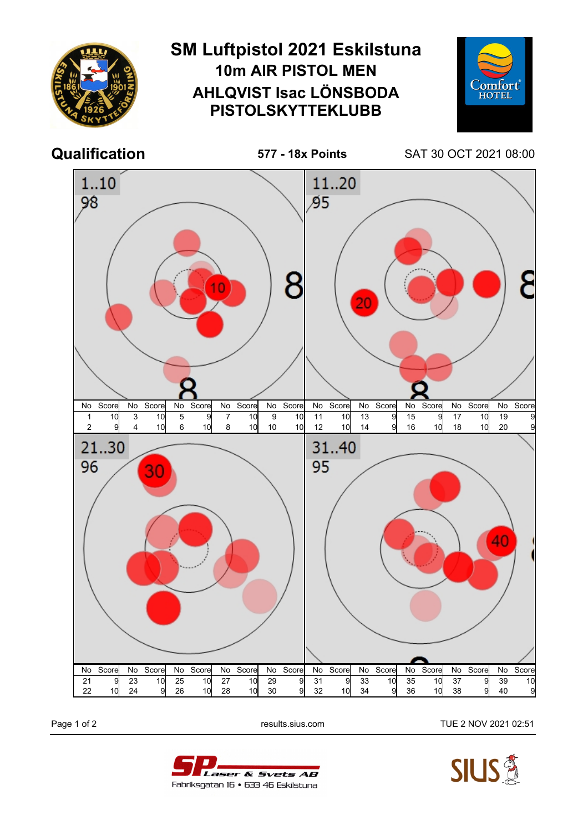

Page 1 of 2 **Page 1 of 2** results.sius.com TUE 2 NOV 2021 02:51